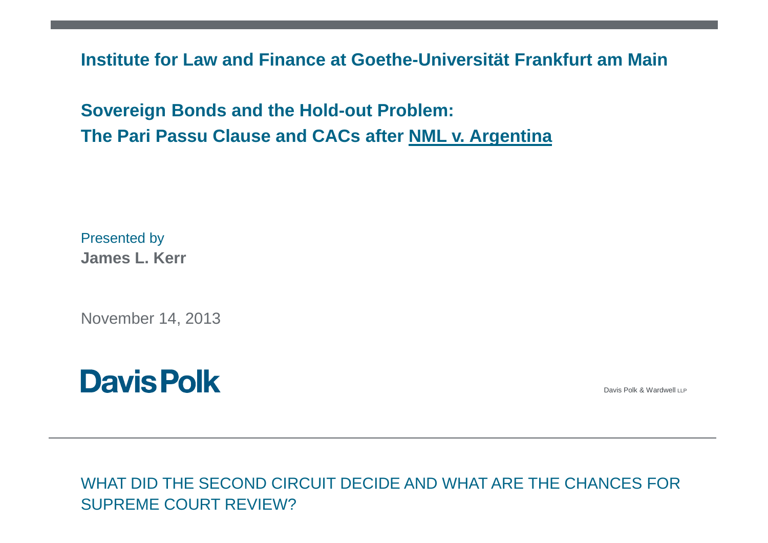**Institute for Law and Finance at Goethe-Universität Frankfurt am Main**

**Sovereign Bonds and the Hold-out Problem: The Pari Passu Clause and CACs after NML v. Argentina**

Presented by**James L. Kerr**

November 14, 2013



Davis Polk & Wardwell LLP

WHAT DID THE SECOND CIRCUIT DECIDE AND WHAT ARE THE CHANCES FOR SUPREME COURT REVIEW?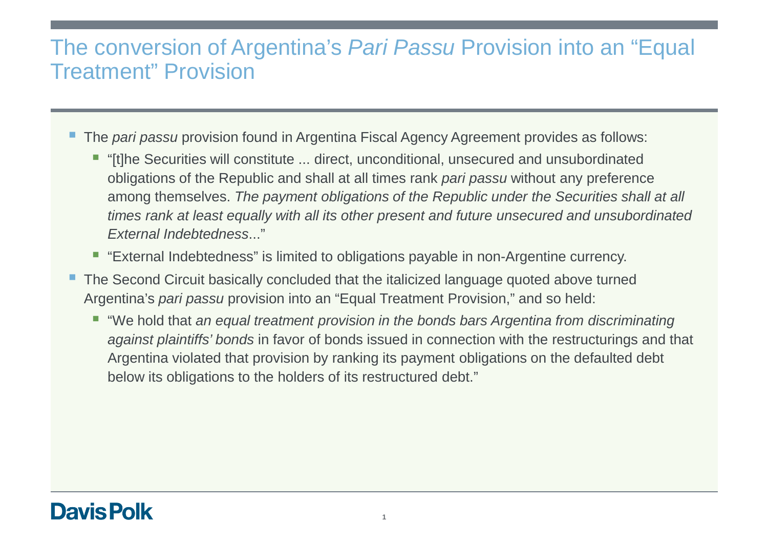### The conversion of Argentina's *Pari Passu* Provision into an "Equal<br>The class of Presiding Treatment" Provision

- The pari passu provision found in Argentina Fiscal Agency Agreement provides as follows:
	- "[t]he Securities will constitute ... direct, unconditional, unsecured and unsubordinated obligations of the Republic and shall at all times rank pari passu without any preference among themselves. The payment obligations of the Republic under the Securities shall at all times rank at least equally with all its other present and future unsecured and unsubordinated External Indebtedness..."
	- "External Indebtedness" is limited to obligations payable in non-Argentine currency.
- The Second Circuit basically concluded that the italicized language quoted above turned Argentina's pari passu provision into an "Equal Treatment Provision," and so held:
	- "We hold that an equal treatment provision in the bonds bars Argentina from discriminating a*gainst plaintiffs' bonds* in favor of bonds issued in connection with the restructurings and that Argentina violated that provision by ranking its payment obligations on the defaulted debt below its obligations to the holders of its restructured debt."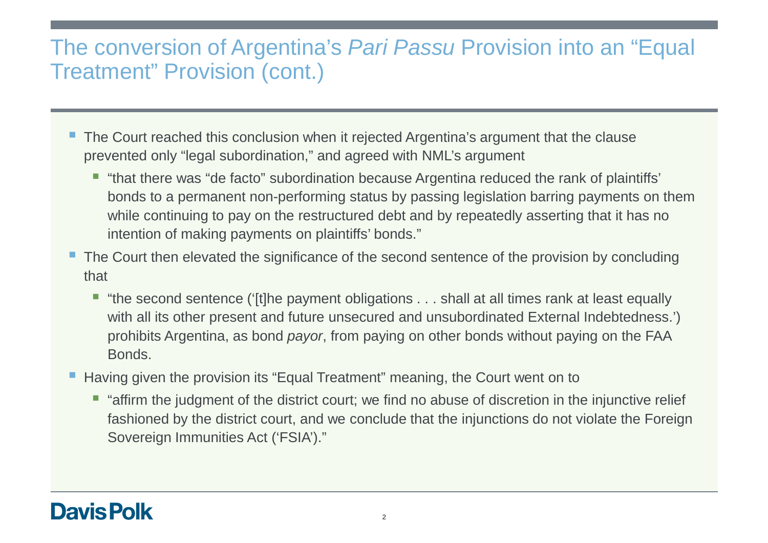### The conversion of Argentina's Pari Passu Provision into an "Equal Treatment" Provision (cont.)

- The Court reached this conclusion when it rejected Argentina's argument that the clause prevented only "legal subordination," and agreed with NML's argument
	- "that there was "de facto" subordination because Argentina reduced the rank of plaintiffs' bonds to a permanent non-performing status by passing legislation barring payments on them while continuing to pay on the restructured debt and by repeatedly asserting that it has no intention of making payments on plaintiffs' bonds."
- The Court then elevated the significance of the second sentence of the provision by concluding that
	- "the second sentence ('[t]he payment obligations . . . shall at all times rank at least equally with all its other present and future unsecured and unsubordinated External Indebtedness.') prohibits Argentina, as bond payor, from paying on other bonds without paying on the FAA Bonds.
- Having given the provision its "Equal Treatment" meaning, the Court went on to
	- **T** "affirm the judgment of the district court; we find no abuse of discretion in the injunctive relief fashioned by the district court, and we conclude that the injunctions do not violate the Foreign Sovereign Immunities Act ('FSIA')."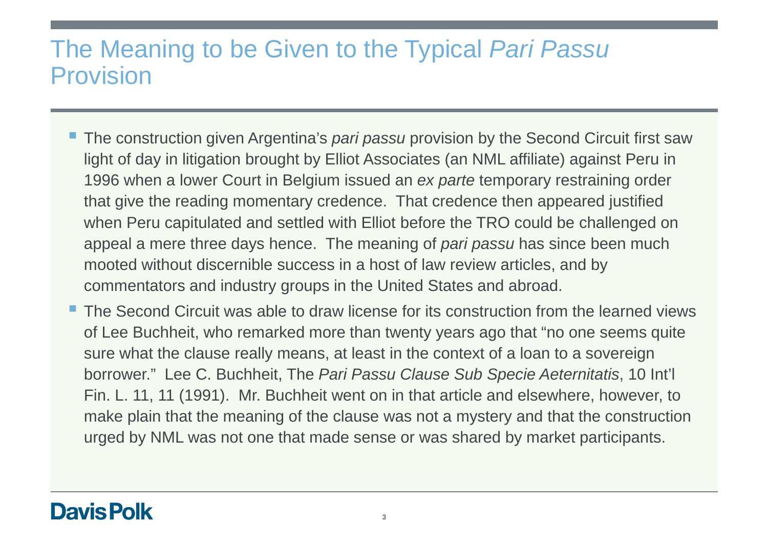## The Meaning to be Given to the Typical Pari Passu Provision

- **The construction given Argentina's pari passu provision by the Second Circuit first saw** light of day in litigation brought by Elliot Associates (an NML affiliate) against Peru in 1996 when a lower Court in Belgium issued an *ex parte* temporary restraining order that give the reading momentary credence. That credence then appeared justified when Peru capitulated and settled with Elliot before the TRO could be challenged on appeal a mere three days hence. The meaning of *pari passu* has since been much mooted without discernible success in a host of law review articles, and by commentators and industry groups in the United States and abroad.
- The Second Circuit was able to draw license for its construction from the learned views of Lee Buchheit, who remarked more than twenty years ago that "no one seems quite sure what the clause really means, at least in the context of a loan to a sovereign borrower." Lee C. Buchheit, The Pari Passu Clause Sub Specie Aeternitatis, 10 Int'l Fin. L. 11, 11 (1991). Mr. Buchheit went on in that article and elsewhere, however, to make plain that the meaning of the clause was not a mystery and that the construction urged by NML was not one that made sense or was shared by market participants.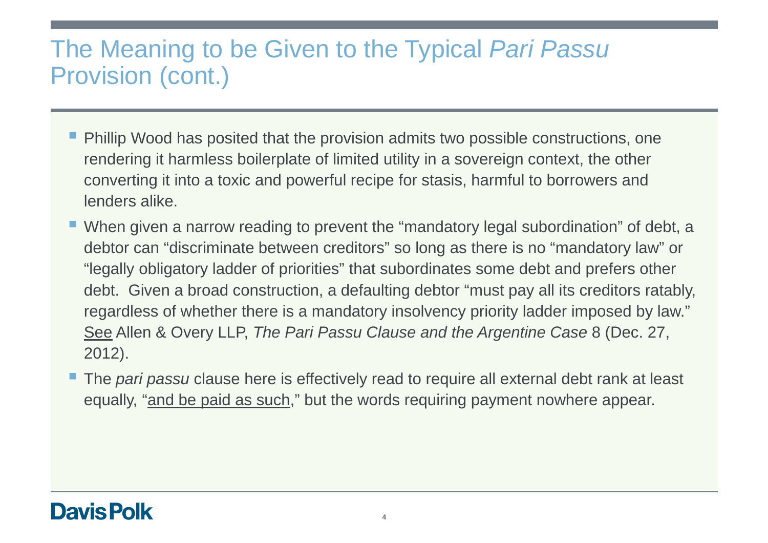# The Meaning to be Given to the Typical Pari Passu Provision (cont.)

- **Phillip Wood has posited that the provision admits two possible constructions, one** rendering it harmless boilerplate of limited utility in a sovereign context, the other converting it into a toxic and powerful recipe for stasis, harmful to borrowers and lenders alike.
- **When given a narrow reading to prevent the "mandatory legal subordination" of debt, a** debtor can "discriminate between creditors" so long as there is no "mandatory law" or "legally obligatory ladder of priorities" that subordinates some debt and prefers other debt. Given a broad construction, a defaulting debtor "must pay all its creditors ratably, regardless of whether there is a mandatory insolvency priority ladder imposed by law." See Allen & Overy LLP, The Pari Passu Clause and the Argentine Case 8 (Dec. 27, 2012).
- The pari passu clause here is effectively read to require all external debt rank at least equally, "and be paid as such," but the words requiring payment nowhere appear.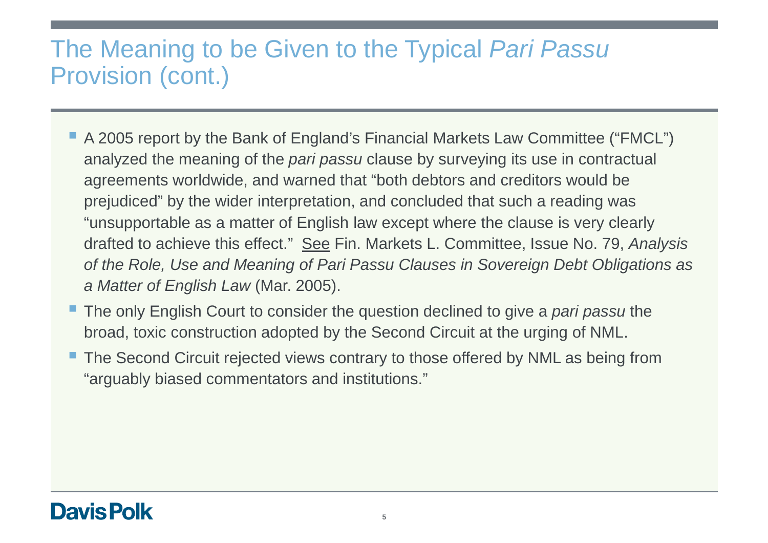# The Meaning to be Given to the Typical Pari Passu Provision (cont.)

- A 2005 report by the Bank of England's Financial Markets Law Committee ("FMCL") analyzed the meaning of the *pari passu* clause by surveying its use in contractual agreements worldwide, and warned that "both debtors and creditors would be prejudiced" by the wider interpretation, and concluded that such a reading was "unsupportable as a matter of English law except where the clause is very clearly drafted to achieve this effect." See Fin. Markets L. Committee, Issue No. 79, Analysis of the Role, Use and Meaning of Pari Passu Clauses in Sovereign Debt Obligations as a Matter of English Law (Mar. 2005).
- The only English Court to consider the question declined to give a *pari passu* the broad, toxic construction adopted by the Second Circuit at the urging of NML.
- The Second Circuit rejected views contrary to those offered by NML as being from "arguably biased commentators and institutions."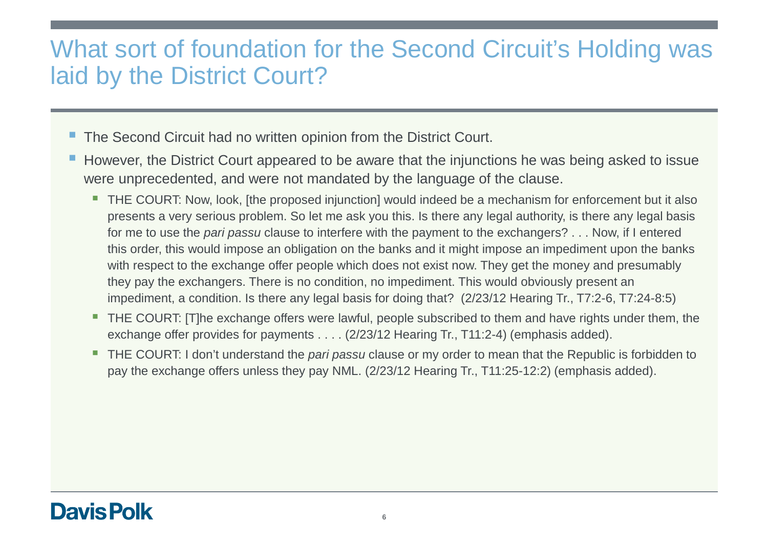## What sort of foundation for the Second Circuit's Holding was laid by the District Court?

- The Second Circuit had no written opinion from the District Court.
- However, the District Court appeared to be aware that the injunctions he was being asked to issue were unprecedented, and were not mandated by the language of the clause.
	- THE COURT: Now, look, [the proposed injunction] would indeed be a mechanism for enforcement but it also presents a very serious problem. So let me ask you this. Is there any legal authority, is there any legal basis for me to use the *pari passu* clause to interfere with the payment to the exchangers? . . . Now, if I entered this order, this would impose an obligation on the banks and it might impose an impediment upon the banks with respect to the exchange offer people which does not exist now. They get the money and presumably they pay the exchangers. There is no condition, no impediment. This would obviously present an impediment, a condition. Is there any legal basis for doing that? (2/23/12 Hearing Tr., T7:2-6, T7:24-8:5)
	- THE COURT: [T]he exchange offers were lawful, people subscribed to them and have rights under them, the exchange offer provides for payments . . . . (2/23/12 Hearing Tr., T11:2-4) (emphasis added).
	- THE COURT: I don't understand the *pari passu* clause or my order to mean that the Republic is forbidden to pay the exchange offers unless they pay NML. (2/23/12 Hearing Tr., T11:25-12:2) (emphasis added).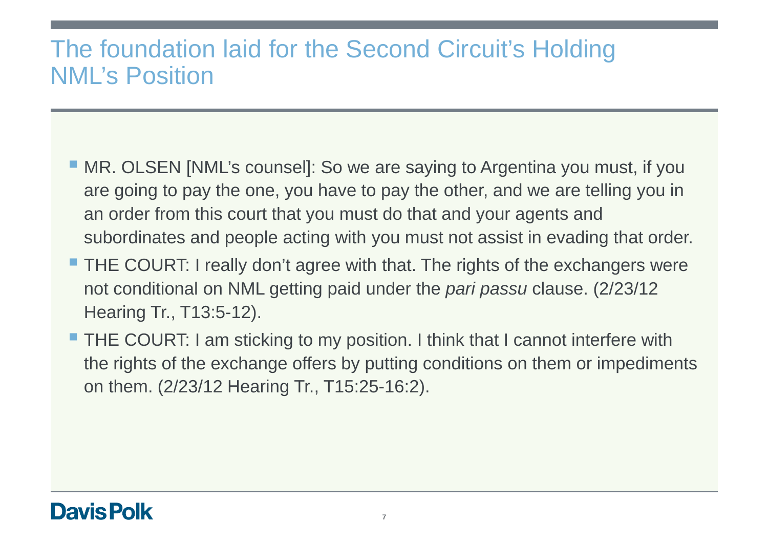# The foundation laid for the Second Circuit's HoldingNML's Position

- **MR. OLSEN [NML's counsel]: So we are saying to Argentina you must, if you** are going to pay the one, you have to pay the other, and we are telling you in an order from this court that you must do that and your agents and subordinates and people acting with you must not assist in evading that order.
- **THE COURT: I really don't agree with that. The rights of the exchangers were** not conditional on NML getting paid under the *pari passu* clause. (2/23/12 Hearing Tr., T13:5-12).
- **THE COURT: I am sticking to my position. I think that I cannot interfere with** the rights of the exchange offers by putting conditions on them or impediments on them. (2/23/12 Hearing Tr., T15:25-16:2).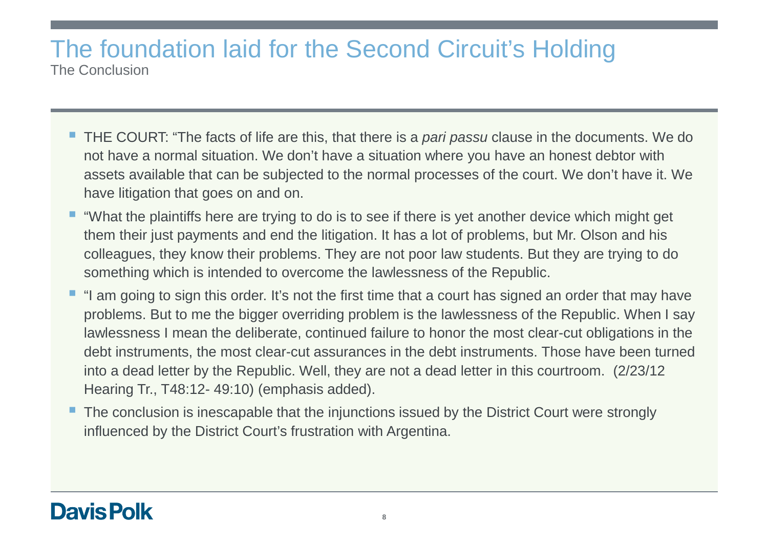#### The foundation laid for the Second Circuit's HoldingThe Conclusion

- THE COURT: "The facts of life are this, that there is a *pari passu* clause in the documents. We do not have a normal situation. We don't have a situation where you have an honest debtor with assets available that can be subjected to the normal processes of the court. We don't have it. We have litigation that goes on and on.
- "What the plaintiffs here are trying to do is to see if there is yet another device which might get them their just payments and end the litigation. It has a lot of problems, but Mr. Olson and his colleagues, they know their problems. They are not poor law students. But they are trying to do something which is intended to overcome the lawlessness of the Republic.
- "I am going to sign this order. It's not the first time that a court has signed an order that may have problems. But to me the bigger overriding problem is the lawlessness of the Republic. When I say lawlessness I mean the deliberate, continued failure to honor the most clear-cut obligations in the debt instruments, the most clear-cut assurances in the debt instruments. Those have been turned into a dead letter by the Republic. Well, they are not a dead letter in this courtroom. (2/23/12 Hearing Tr., T48:12- 49:10) (emphasis added).
- The conclusion is inescapable that the injunctions issued by the District Court were strongly influenced by the District Court's frustration with Argentina.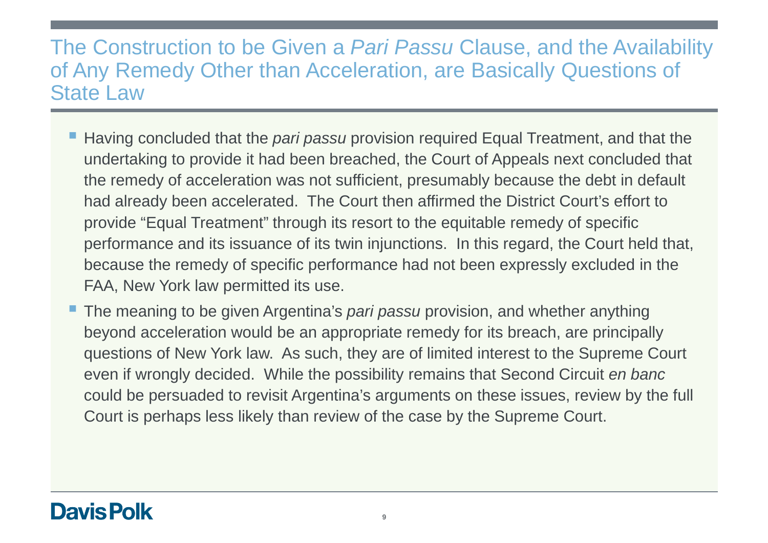### The Construction to be Given a *Pari Passu* Clause, and the Availability of Any Remedy Other than Acceleration, are Basically Questions of State Law

- Having concluded that the pari passu provision required Equal Treatment, and that the undertaking to provide it had been breached, the Court of Appeals next concluded that the remedy of acceleration was not sufficient, presumably because the debt in default had already been accelerated. The Court then affirmed the District Court's effort to provide "Equal Treatment" through its resort to the equitable remedy of specific performance and its issuance of its twin injunctions. In this regard, the Court held that, because the remedy of specific performance had not been expressly excluded in the FAA, New York law permitted its use.
- **The meaning to be given Argentina's** *pari passu* **provision, and whether anything** beyond acceleration would be an appropriate remedy for its breach, are principally questions of New York law. As such, they are of limited interest to the Supreme Court even if wrongly decided. While the possibility remains that Second Circuit en banc could be persuaded to revisit Argentina's arguments on these issues, review by the full Court is perhaps less likely than review of the case by the Supreme Court.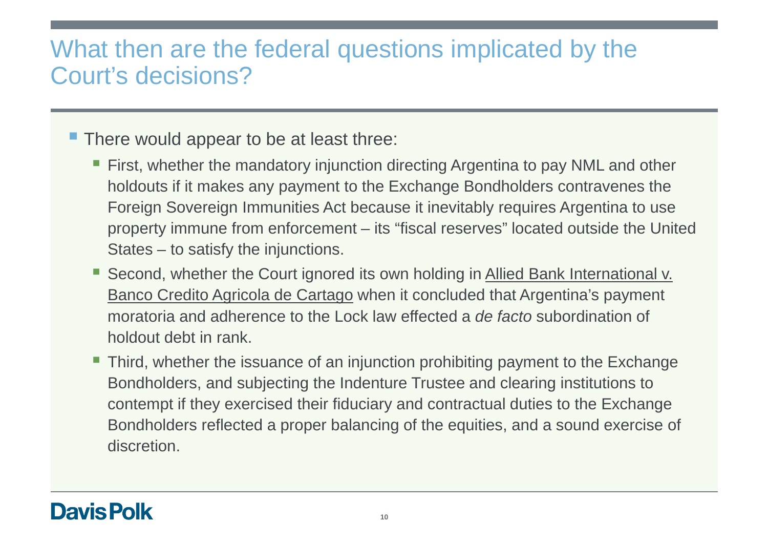# What then are the federal questions implicated by the Court's decisions?

# **There would appear to be at least three:**

- First, whether the mandatory injunction directing Argentina to pay NML and other holdouts if it makes any payment to the Exchange Bondholders contravenes the Foreign Sovereign Immunities Act because it inevitably requires Argentina to use property immune from enforcement – its "fiscal reserves" located outside the United States – to satisfy the injunctions.
- Second, whether the Court ignored its own holding in Allied Bank International v. Banco Credito Agricola de Cartago when it concluded that Argentina's payment moratoria and adherence to the Lock law effected a *de facto* subordination of holdout debt in rank.
- **Third, whether the issuance of an injunction prohibiting payment to the Exchange** Bondholders, and subjecting the Indenture Trustee and clearing institutions to contempt if they exercised their fiduciary and contractual duties to the Exchange Bondholders reflected a proper balancing of the equities, and a sound exercise of discretion.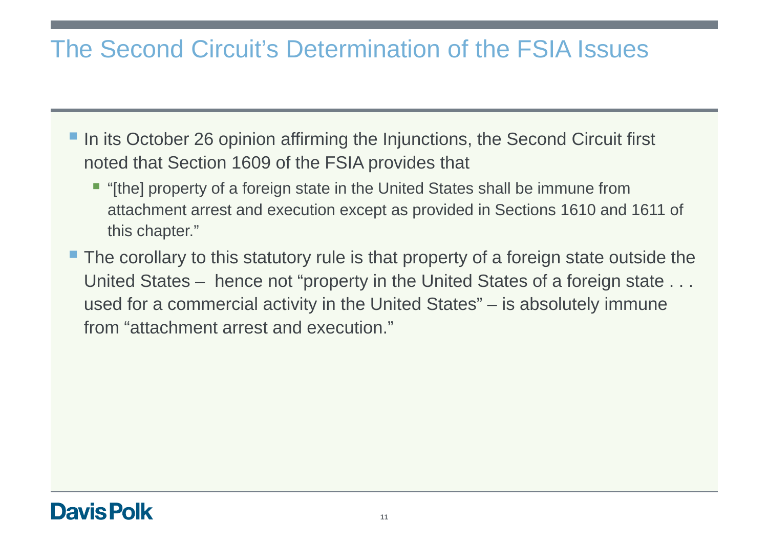# The Second Circuit's Determination of the FSIA Issues

- In its October 26 opinion affirming the Injunctions, the Second Circuit first noted that Section 1609 of the FSIA provides that
	- "[the] property of a foreign state in the United States shall be immune from attachment arrest and execution except as provided in Sections 1610 and 1611 of this chapter."
- The corollary to this statutory rule is that property of a foreign state outside the United States - hence not "property in the United States of a foreign state . . . used for a commercial activity in the United States" – is absolutely immune from "attachment arrest and execution."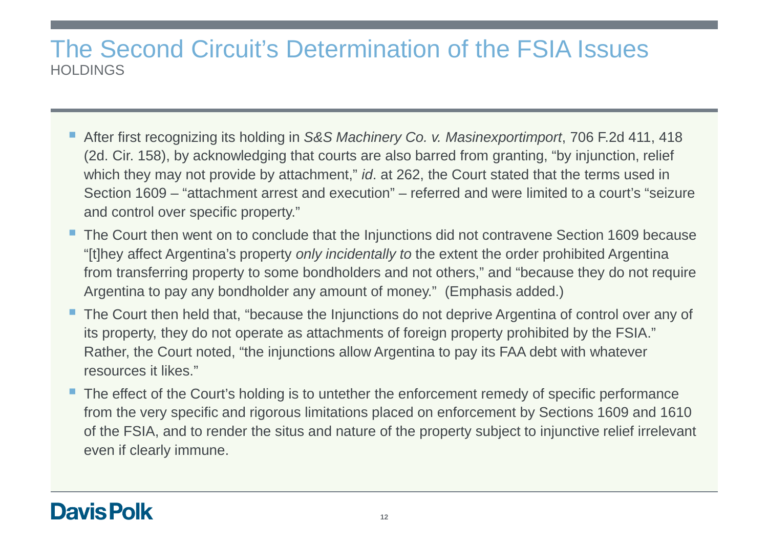### The Second Circuit's Determination of the FSIA IssuesHOLDINGS

- After first recognizing its holding in S&S Machinery Co. v. Masinexportimport, 706 F.2d 411, 418 (2d. Cir. 158), by acknowledging that courts are also barred from granting, "by injunction, relief which they may not provide by attachment," *id.* at 262, the Court stated that the terms used in Section 1609 – "attachment arrest and execution" – referred and were limited to a court's "seizure and control over specific property."
- The Court then went on to conclude that the Injunctions did not contravene Section 1609 because "[t]hey affect Argentina's property *only incidentally to* the extent the order prohibited Argentina from transferring property to some bondholders and not others," and "because they do not require Argentina to pay any bondholder any amount of money." (Emphasis added.)
- The Court then held that, "because the Injunctions do not deprive Argentina of control over any of its property, they do not operate as attachments of foreign property prohibited by the FSIA." Rather, the Court noted, "the injunctions allow Argentina to pay its FAA debt with whatever resources it likes."
- The effect of the Court's holding is to untether the enforcement remedy of specific performance from the very specific and rigorous limitations placed on enforcement by Sections 1609 and 1610 of the FSIA, and to render the situs and nature of the property subject to injunctive relief irrelevant even if clearly immune.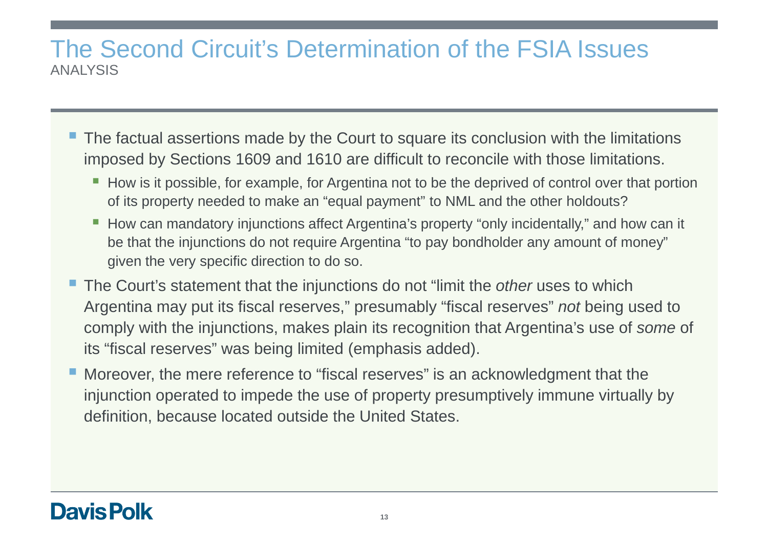### The Second Circuit's Determination of the FSIA IssuesANALYSIS

- The factual assertions made by the Court to square its conclusion with the limitations imposed by Sections 1609 and 1610 are difficult to reconcile with those limitations.
	- How is it possible, for example, for Argentina not to be the deprived of control over that portion of its property needed to make an "equal payment" to NML and the other holdouts?
	- How can mandatory injunctions affect Argentina's property "only incidentally," and how can it be that the injunctions do not require Argentina "to pay bondholder any amount of money" given the very specific direction to do so.
- The Court's statement that the injunctions do not "limit the *other* uses to which Argentina may put its fiscal reserves," presumably "fiscal reserves" *not* being used to comply with the injunctions, makes plain its recognition that Argentina's use of *some* of its "fiscal reserves" was being limited (emphasis added).
- **Moreover, the mere reference to "fiscal reserves" is an acknowledgment that the** injunction operated to impede the use of property presumptively immune virtually by definition, because located outside the United States.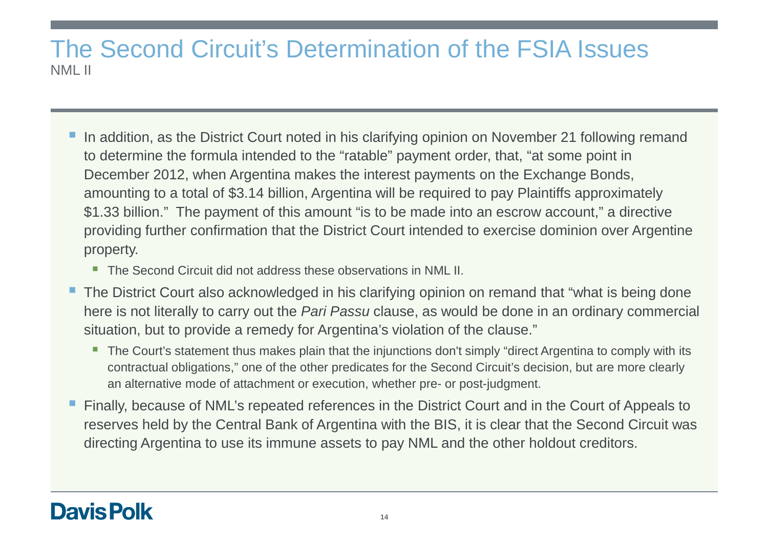#### The Second Circuit's Determination of the FSIA IssuesNML II

- In addition, as the District Court noted in his clarifying opinion on November 21 following remand to determine the formula intended to the "ratable" payment order, that, "at some point in December 2012, when Argentina makes the interest payments on the Exchange Bonds, amounting to a total of \$3.14 billion, Argentina will be required to pay Plaintiffs approximately \$1.33 billion." The payment of this amount "is to be made into an escrow account," a directive providing further confirmation that the District Court intended to exercise dominion over Argentine property.
	- The Second Circuit did not address these observations in NML II.
- The District Court also acknowledged in his clarifying opinion on remand that "what is being done here is not literally to carry out the *Pari Passu* clause, as would be done in an ordinary commercial situation, but to provide a remedy for Argentina's violation of the clause."
	- The Court's statement thus makes plain that the injunctions don't simply "direct Argentina to comply with its contractual obligations," one of the other predicates for the Second Circuit's decision, but are more clearly an alternative mode of attachment or execution, whether pre- or post-judgment.
- Finally, because of NML's repeated references in the District Court and in the Court of Appeals to reserves held by the Central Bank of Argentina with the BIS, it is clear that the Second Circuit was directing Argentina to use its immune assets to pay NML and the other holdout creditors.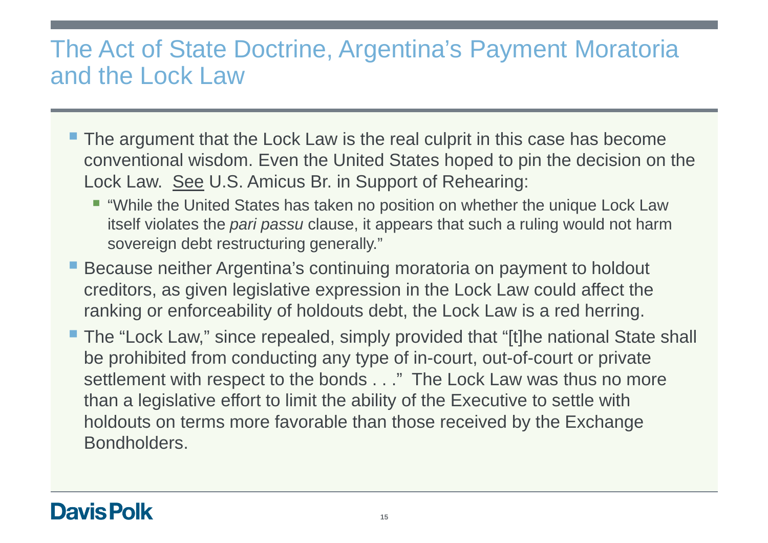# The Act of State Doctrine, Argentina's Payment Moratoria and the Lock Law

- The argument that the Lock Law is the real culprit in this case has become conventional wisdom. Even the United States hoped to pin the decision on the Lock Law. See U.S. Amicus Br. in Support of Rehearing:
	- "While the United States has taken no position on whether the unique Lock Law itself violates the *pari passu* clause, it appears that such a ruling would not harm sovereign debt restructuring generally."
- **Because neither Argentina's continuing moratoria on payment to holdout** creditors, as given legislative expression in the Lock Law could affect the ranking or enforceability of holdouts debt, the Lock Law is a red herring.
- The "Lock Law," since repealed, simply provided that "[t]he national State shall be prohibited from conducting any type of in-court, out-of-court or private settlement with respect to the bonds . . ." The Lock Law was thus no more than a legislative effort to limit the ability of the Executive to settle with holdouts on terms more favorable than those received by the Exchange Bondholders.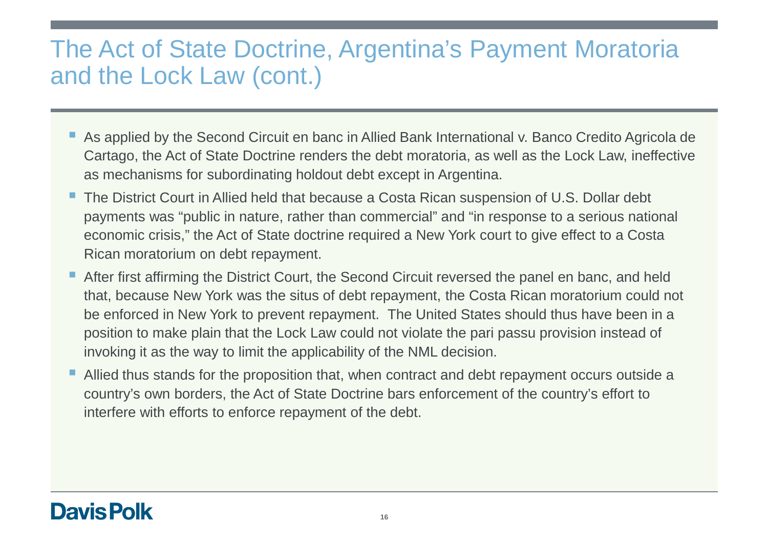# The Act of State Doctrine, Argentina's Payment Moratoria and the Lock Law (cont.)

- As applied by the Second Circuit en banc in Allied Bank International v. Banco Credito Agricola de Cartago, the Act of State Doctrine renders the debt moratoria, as well as the Lock Law, ineffective as mechanisms for subordinating holdout debt except in Argentina.
- The District Court in Allied held that because a Costa Rican suspension of U.S. Dollar debt payments was "public in nature, rather than commercial" and "in response to a serious national economic crisis," the Act of State doctrine required a New York court to give effect to a Costa Rican moratorium on debt repayment.
- After first affirming the District Court, the Second Circuit reversed the panel en banc, and held that, because New York was the situs of debt repayment, the Costa Rican moratorium could not be enforced in New York to prevent repayment. The United States should thus have been in a position to make plain that the Lock Law could not violate the pari passu provision instead of invoking it as the way to limit the applicability of the NML decision.
- Allied thus stands for the proposition that, when contract and debt repayment occurs outside a country's own borders, the Act of State Doctrine bars enforcement of the country's effort to interfere with efforts to enforce repayment of the debt.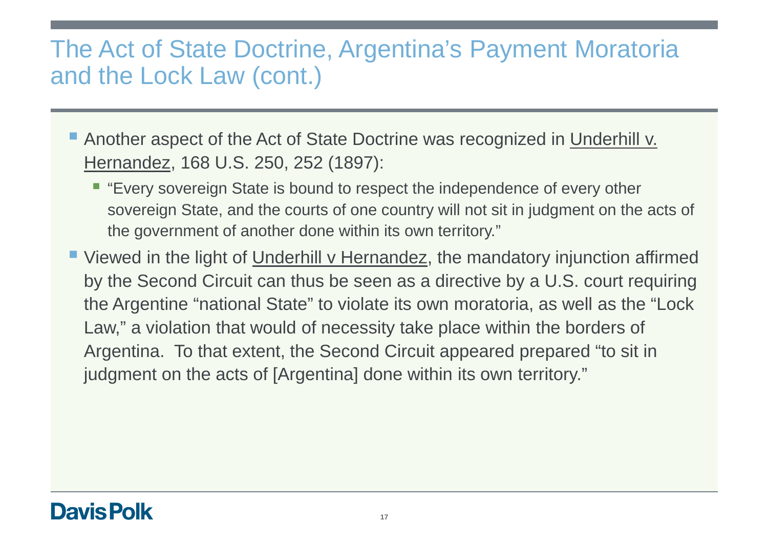# The Act of State Doctrine, Argentina's Payment Moratoria and the Lock Law (cont.)

- **Another aspect of the Act of State Doctrine was recognized in Underhill v.** Hernandez, 168 U.S. 250, 252 (1897):
	- **Exery sovereign State is bound to respect the independence of every other** sovereign State, and the courts of one country will not sit in judgment on the acts of the government of another done within its own territory."
- **Viewed in the light of Underhill v Hernandez, the mandatory injunction affirmed** by the Second Circuit can thus be seen as a directive by a U.S. court requiring the Argentine "national State" to violate its own moratoria, as well as the "Lock Law," a violation that would of necessity take place within the borders of Argentina. To that extent, the Second Circuit appeared prepared "to sit in judgment on the acts of [Argentina] done within its own territory."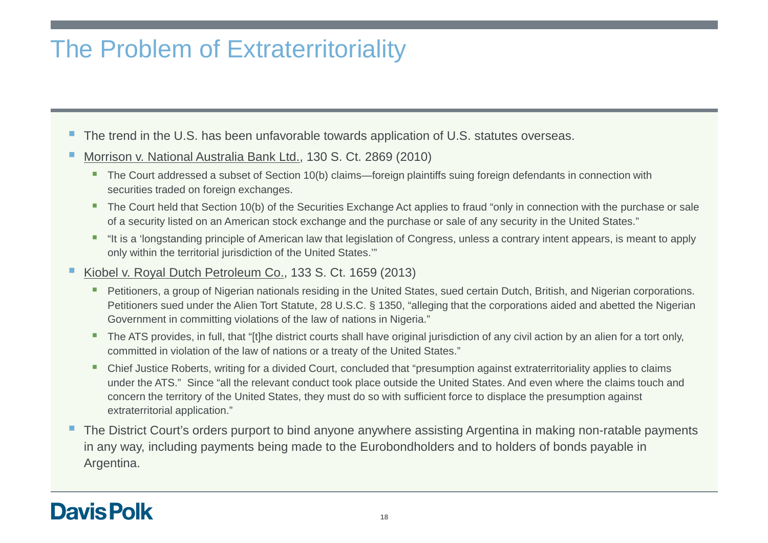# The Problem of Extraterritoriality

- The trend in the U.S. has been unfavorable towards application of U.S. statutes overseas.
- Morrison v. National Australia Bank Ltd., 130 S. Ct. 2869 (2010)
	- The Court addressed a subset of Section 10(b) claims—foreign plaintiffs suing foreign defendants in connection with securities traded on foreign exchanges.
	- The Court held that Section 10(b) of the Securities Exchange Act applies to fraud "only in connection with the purchase or sale of a security listed on an American stock exchange and the purchase or sale of any security in the United States."
	- "It is a 'longstanding principle of American law that legislation of Congress, unless a contrary intent appears, is meant to apply only within the territorial jurisdiction of the United States.'"
- Kiobel v. Royal Dutch Petroleum Co., 133 S. Ct. 1659 (2013)
	- Petitioners, a group of Nigerian nationals residing in the United States, sued certain Dutch, British, and Nigerian corporations. Petitioners sued under the Alien Tort Statute, 28 U.S.C. § 1350, "alleging that the corporations aided and abetted the Nigerian Government in committing violations of the law of nations in Nigeria."
	- The ATS provides, in full, that "[t]he district courts shall have original jurisdiction of any civil action by an alien for a tort only, committed in violation of the law of nations or a treaty of the United States."
	- Chief Justice Roberts, writing for a divided Court, concluded that "presumption against extraterritoriality applies to claims under the ATS." Since "all the relevant conduct took place outside the United States. And even where the claims touch and concern the territory of the United States, they must do so with sufficient force to displace the presumption against extraterritorial application."
- П The District Court's orders purport to bind anyone anywhere assisting Argentina in making non-ratable payments in any way, including payments being made to the Eurobondholders and to holders of bonds payable in Argentina.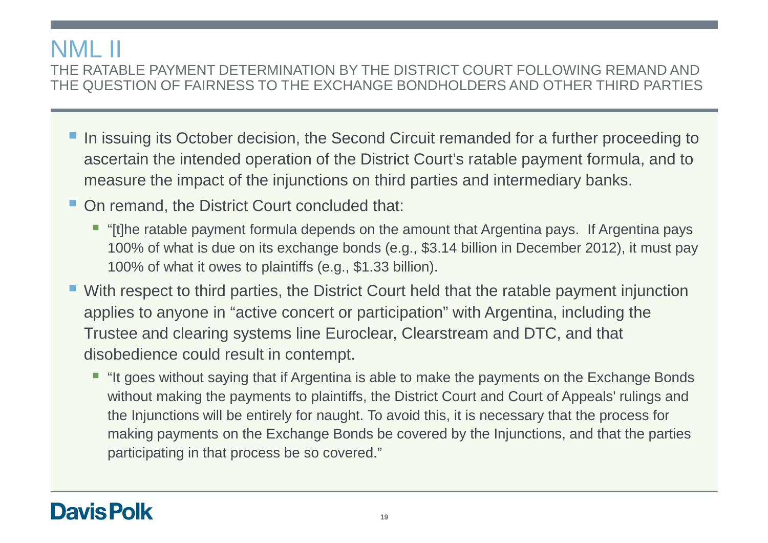# NML II

 THE RATABLE PAYMENT DETERMINATION BY THE DISTRICT COURT FOLLOWING REMAND AND THE QUESTION OF FAIRNESS TO THE EXCHANGE BONDHOLDERS AND OTHER THIRD PARTIES

- **In issuing its October decision, the Second Circuit remanded for a further proceeding to** ascertain the intended operation of the District Court's ratable payment formula, and to measure the impact of the injunctions on third parties and intermediary banks.
- On remand, the District Court concluded that:
	- "[t]he ratable payment formula depends on the amount that Argentina pays. If Argentina pays 100% of what is due on its exchange bonds (e.g., \$3.14 billion in December 2012), it must pay 100% of what it owes to plaintiffs (e.g., \$1.33 billion).
- With respect to third parties, the District Court held that the ratable payment injunction applies to anyone in "active concert or participation" with Argentina, including the Trustee and clearing systems line Euroclear, Clearstream and DTC, and that disobedience could result in contempt.
	- "It goes without saying that if Argentina is able to make the payments on the Exchange Bonds without making the payments to plaintiffs, the District Court and Court of Appeals' rulings and the Injunctions will be entirely for naught. To avoid this, it is necessary that the process for making payments on the Exchange Bonds be covered by the Injunctions, and that the parties participating in that process be so covered."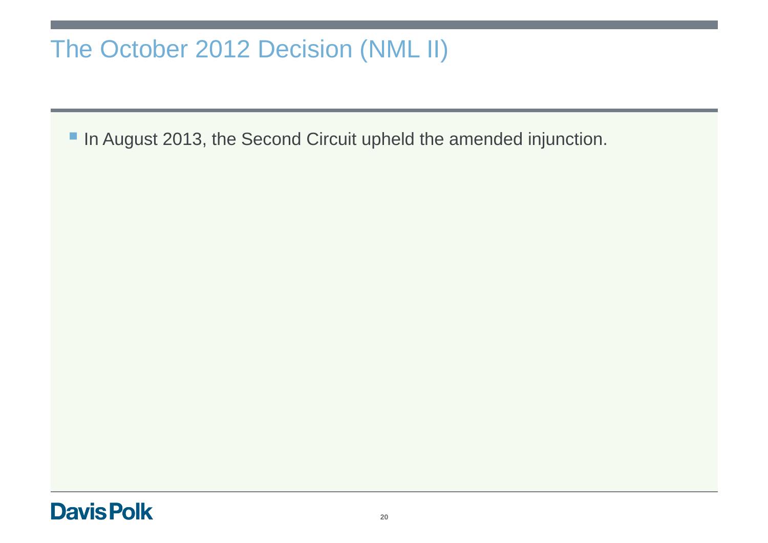# The October 2012 Decision (NML II)

In August 2013, the Second Circuit upheld the amended injunction.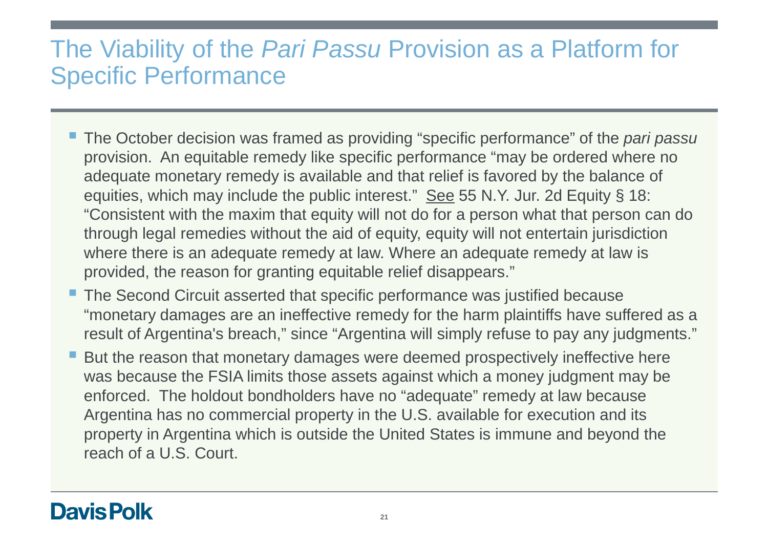# The Viability of the Pari Passu Provision as a Platform for Specific Performance

- The October decision was framed as providing "specific performance" of the *pari passu* provision. An equitable remedy like specific performance "may be ordered where no adequate monetary remedy is available and that relief is favored by the balance of equities, which may include the public interest." See 55 N.Y. Jur. 2d Equity § 18: "Consistent with the maxim that equity will not do for a person what that person can do through legal remedies without the aid of equity, equity will not entertain jurisdiction where there is an adequate remedy at law. Where an adequate remedy at law is provided, the reason for granting equitable relief disappears."
- The Second Circuit asserted that specific performance was justified because "monetary damages are an ineffective remedy for the harm plaintiffs have suffered as a result of Argentina's breach," since "Argentina will simply refuse to pay any judgments."
- But the reason that monetary damages were deemed prospectively ineffective here was because the FSIA limits those assets against which a money judgment may be enforced. The holdout bondholders have no "adequate" remedy at law because Argentina has no commercial property in the U.S. available for execution and its property in Argentina which is outside the United States is immune and beyond the reach of a U.S. Court.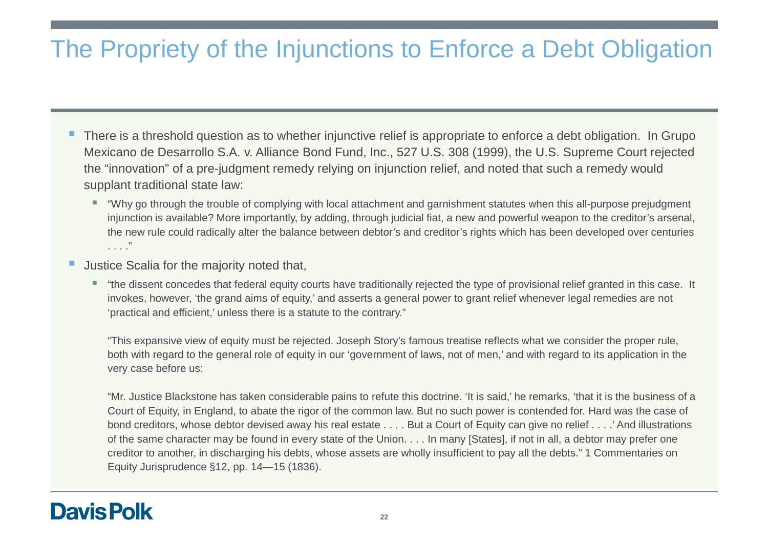# The Propriety of the Injunctions to Enforce a Debt Obligation

- There is a threshold question as to whether injunctive relief is appropriate to enforce a debt obligation. In Grupo Mexicano de Desarrollo S.A. v. Alliance Bond Fund, Inc., 527 U.S. 308 (1999), the U.S. Supreme Court rejected the "innovation" of a pre-judgment remedy relying on injunction relief, and noted that such a remedy would supplant traditional state law:
	- "Why go through the trouble of complying with local attachment and garnishment statutes when this all-purpose prejudgment injunction is available? More importantly, by adding, through judicial fiat, a new and powerful weapon to the creditor's arsenal, the new rule could radically alter the balance between debtor's and creditor's rights which has been developed over centuries. . . ."
- Justice Scalia for the majority noted that,
	- "the dissent concedes that federal equity courts have traditionally rejected the type of provisional relief granted in this case. It invokes, however, 'the grand aims of equity,' and asserts a general power to grant relief whenever legal remedies are not 'practical and efficient,' unless there is a statute to the contrary."

"This expansive view of equity must be rejected. Joseph Story's famous treatise reflects what we consider the proper rule, both with regard to the general role of equity in our 'government of laws, not of men,' and with regard to its application in the very case before us:

"Mr. Justice Blackstone has taken considerable pains to refute this doctrine. 'It is said,' he remarks, 'that it is the business of a Court of Equity, in England, to abate the rigor of the common law. But no such power is contended for. Hard was the case of bond creditors, whose debtor devised away his real estate . . . . But a Court of Equity can give no relief . . . .' And illustrations of the same character may be found in every state of the Union. . . . In many [States], if not in all, a debtor may prefer one creditor to another, in discharging his debts, whose assets are wholly insufficient to pay all the debts." 1 Commentaries on Equity Jurisprudence §12, pp. 14—15 (1836).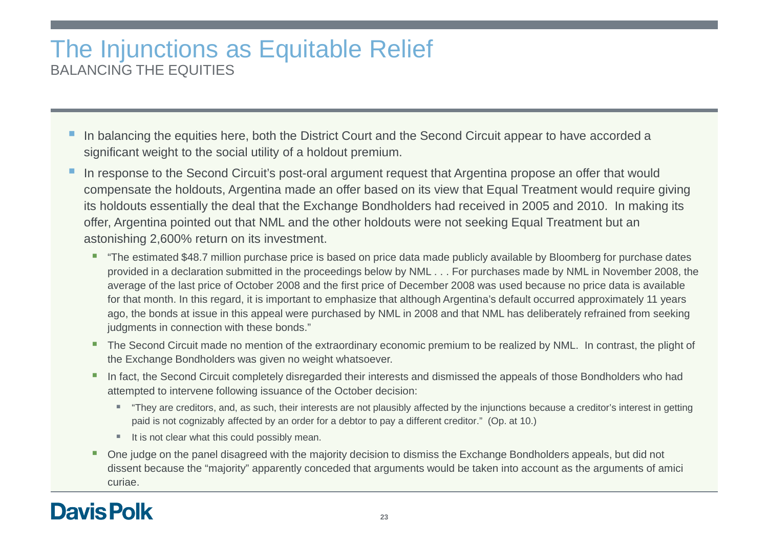### The Injunctions as Equitable ReliefBALANCING THE EQUITIES

- In balancing the equities here, both the District Court and the Second Circuit appear to have accorded a significant weight to the social utility of a holdout premium.
- In response to the Second Circuit's post-oral argument request that Argentina propose an offer that would compensate the holdouts, Argentina made an offer based on its view that Equal Treatment would require giving its holdouts essentially the deal that the Exchange Bondholders had received in 2005 and 2010. In making its offer, Argentina pointed out that NML and the other holdouts were not seeking Equal Treatment but an astonishing 2,600% return on its investment.
	- "The estimated \$48.7 million purchase price is based on price data made publicly available by Bloomberg for purchase dates provided in a declaration submitted in the proceedings below by NML . . . For purchases made by NML in November 2008, the average of the last price of October 2008 and the first price of December 2008 was used because no price data is available for that month. In this regard, it is important to emphasize that although Argentina's default occurred approximately 11 years ago, the bonds at issue in this appeal were purchased by NML in 2008 and that NML has deliberately refrained from seeking judgments in connection with these bonds."
	- The Second Circuit made no mention of the extraordinary economic premium to be realized by NML. In contrast, the plight of the Exchange Bondholders was given no weight whatsoever.
	- In fact, the Second Circuit completely disregarded their interests and dismissed the appeals of those Bondholders who had attempted to intervene following issuance of the October decision:
		- "They are creditors, and, as such, their interests are not plausibly affected by the injunctions because a creditor's interest in getting paid is not cognizably affected by an order for a debtor to pay a different creditor." (Op. at 10.)
		- $\blacksquare$  It is not clear what this could possibly mean.
	- One judge on the panel disagreed with the majority decision to dismiss the Exchange Bondholders appeals, but did not dissent because the "majority" apparently conceded that arguments would be taken into account as the arguments of amici curiae.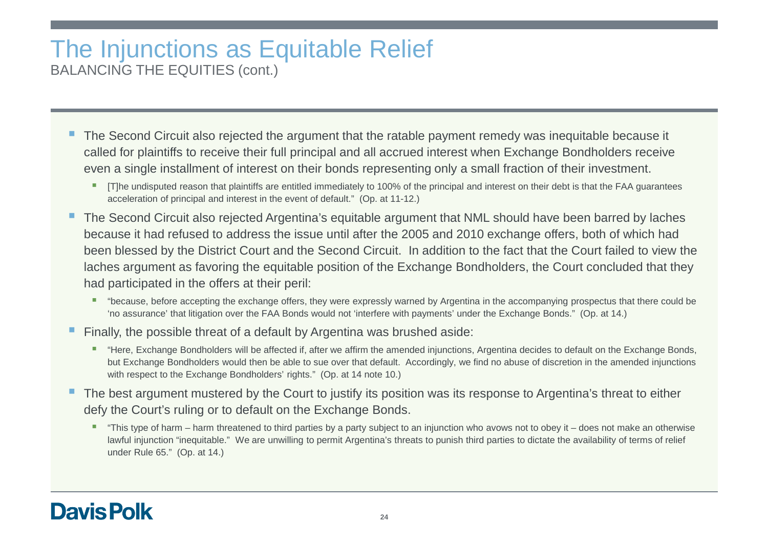#### The Injunctions as Equitable ReliefBALANCING THE EQUITIES (cont.)

- The Second Circuit also rejected the argument that the ratable payment remedy was inequitable because it called for plaintiffs to receive their full principal and all accrued interest when Exchange Bondholders receive even a single installment of interest on their bonds representing only a small fraction of their investment.
	- □ [T]he undisputed reason that plaintiffs are entitled immediately to 100% of the principal and interest on their debt is that the FAA guarantees acceleration of principal and interest in the event of default." (Op. at 11-12.)
- The Second Circuit also rejected Argentina's equitable argument that NML should have been barred by laches because it had refused to address the issue until after the 2005 and 2010 exchange offers, both of which had been blessed by the District Court and the Second Circuit. In addition to the fact that the Court failed to view the laches argument as favoring the equitable position of the Exchange Bondholders, the Court concluded that they had participated in the offers at their peril:
	- "because, before accepting the exchange offers, they were expressly warned by Argentina in the accompanying prospectus that there could be 'no assurance' that litigation over the FAA Bonds would not 'interfere with payments' under the Exchange Bonds." (Op. at 14.)
- Finally, the possible threat of a default by Argentina was brushed aside:
	- "Here, Exchange Bondholders will be affected if, after we affirm the amended injunctions, Argentina decides to default on the Exchange Bonds, but Exchange Bondholders would then be able to sue over that default. Accordingly, we find no abuse of discretion in the amended injunctions with respect to the Exchange Bondholders' rights." (Op. at 14 note 10.)
- П The best argument mustered by the Court to justify its position was its response to Argentina's threat to either defy the Court's ruling or to default on the Exchange Bonds.
	- "This type of harm harm threatened to third parties by a party subject to an injunction who avows not to obey it does not make an otherwise lawful injunction "inequitable." We are unwilling to permit Argentina's threats to punish third parties to dictate the availability of terms of relief under Rule 65." (Op. at 14.)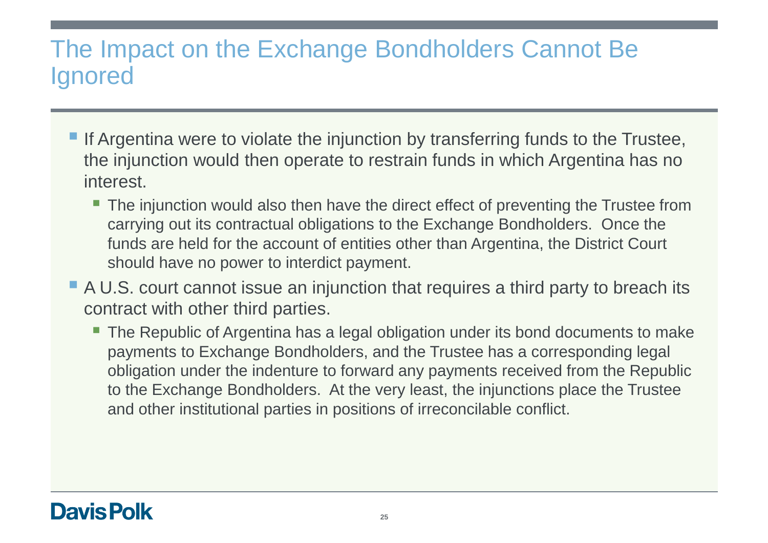# The Impact on the Exchange Bondholders Cannot Be Ignored

- If Argentina were to violate the injunction by transferring funds to the Trustee, the injunction would then operate to restrain funds in which Argentina has no interest.
	- $\blacksquare$  The injunction would also then have the direct effect of preventing the Trustee from carrying out its contractual obligations to the Exchange Bondholders. Once the funds are held for the account of entities other than Argentina, the District Court should have no power to interdict payment.
- A U.S. court cannot issue an injunction that requires a third party to breach its contract with other third parties.
	- The Republic of Argentina has a legal obligation under its bond documents to make payments to Exchange Bondholders, and the Trustee has a corresponding legal obligation under the indenture to forward any payments received from the Republic to the Exchange Bondholders. At the very least, the injunctions place the Trustee and other institutional parties in positions of irreconcilable conflict.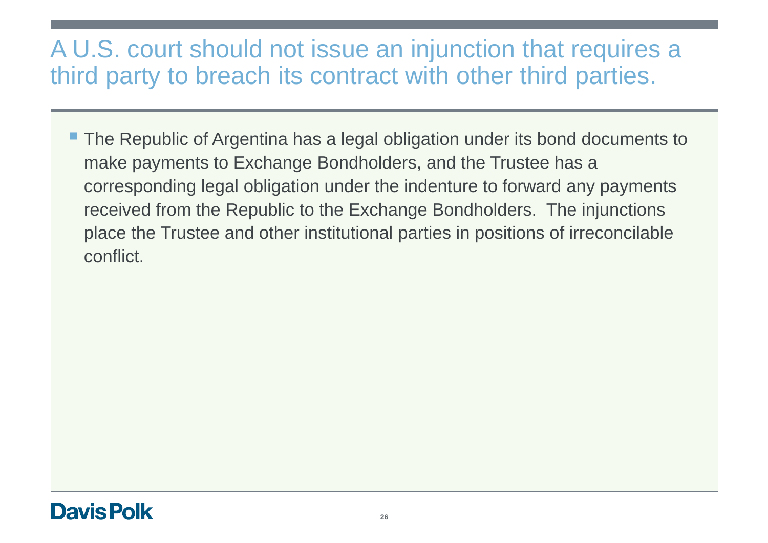# A U.S. court should not issue an injunction that requires a third party to breach its contract with other third parties.

■ The Republic of Argentina has a legal obligation under its bond documents to make payments to Exchange Bondholders, and the Trustee has a corresponding legal obligation under the indenture to forward any payments received from the Republic to the Exchange Bondholders. The injunctions place the Trustee and other institutional parties in positions of irreconcilable conflict.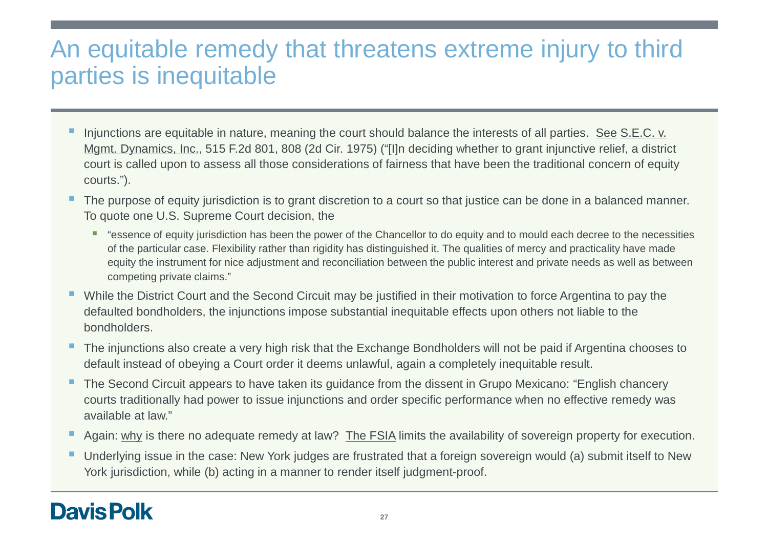# An equitable remedy that threatens extreme injury to third parties is inequitable

- П Injunctions are equitable in nature, meaning the court should balance the interests of all parties. See S.E.C. v. Mgmt. Dynamics, Inc., 515 F.2d 801, 808 (2d Cir. 1975) ("[I]n deciding whether to grant injunctive relief, a district court is called upon to assess all those considerations of fairness that have been the traditional concern of equity courts.").
- I. The purpose of equity jurisdiction is to grant discretion to a court so that justice can be done in a balanced manner. To quote one U.S. Supreme Court decision, the
	- "essence of equity jurisdiction has been the power of the Chancellor to do equity and to mould each decree to the necessities of the particular case. Flexibility rather than rigidity has distinguished it. The qualities of mercy and practicality have made equity the instrument for nice adjustment and reconciliation between the public interest and private needs as well as betweencompeting private claims."
- **Nile the District Court and the Second Circuit may be justified in their motivation to force Argentina to pay the** defaulted bondholders, the injunctions impose substantial inequitable effects upon others not liable to the bondholders.
- Е The injunctions also create a very high risk that the Exchange Bondholders will not be paid if Argentina chooses to default instead of obeying a Court order it deems unlawful, again a completely inequitable result.
- щ The Second Circuit appears to have taken its guidance from the dissent in Grupo Mexicano: "English chancery courts traditionally had power to issue injunctions and order specific performance when no effective remedy was available at law."
- Again: why is there no adequate remedy at law? The FSIA limits the availability of sovereign property for execution.
- П Underlying issue in the case: New York judges are frustrated that a foreign sovereign would (a) submit itself to New York jurisdiction, while (b) acting in a manner to render itself judgment-proof.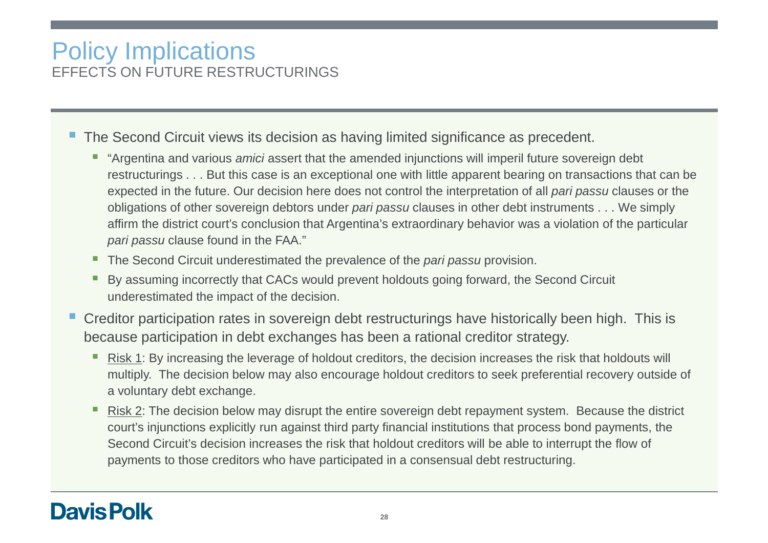#### Policy ImplicationsEFFECTS ON FUTURE RESTRUCTURINGS

- **The Second Circuit views its decision as having limited significance as precedent.** 
	- **T** "Argentina and various *amici* assert that the amended injunctions will imperil future sovereign debt restructurings . . . But this case is an exceptional one with little apparent bearing on transactions that can be expected in the future. Our decision here does not control the interpretation of all *pari passu* clauses or the obligations of other sovereign debtors under *pari passu* clauses in other debt instruments . . . We simply affirm the district court's conclusion that Argentina's extraordinary behavior was a violation of the particular pari passu clause found in the FAA."
	- The Second Circuit underestimated the prevalence of the *pari passu* provision.
	- H By assuming incorrectly that CACs would prevent holdouts going forward, the Second Circuit underestimated the impact of the decision.
- **Creditor participation rates in sovereign debt restructurings have historically been high. This is** because participation in debt exchanges has been a rational creditor strategy.
	- Ш Risk 1: By increasing the leverage of holdout creditors, the decision increases the risk that holdouts will multiply. The decision below may also encourage holdout creditors to seek preferential recovery outside of a voluntary debt exchange.
	- Ш Risk 2: The decision below may disrupt the entire sovereign debt repayment system. Because the district court's injunctions explicitly run against third party financial institutions that process bond payments, the Second Circuit's decision increases the risk that holdout creditors will be able to interrupt the flow of payments to those creditors who have participated in a consensual debt restructuring.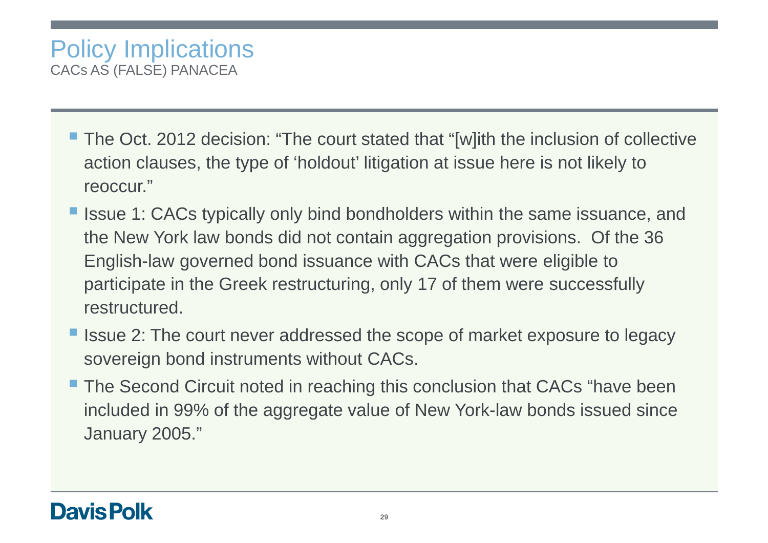- The Oct. 2012 decision: "The court stated that "[w]ith the inclusion of collective action clauses, the type of 'holdout' litigation at issue here is not likely to reoccur."
- Issue 1: CACs typically only bind bondholders within the same issuance, and the New York law bonds did not contain aggregation provisions. Of the 36 English-law governed bond issuance with CACs that were eligible to participate in the Greek restructuring, only 17 of them were successfully restructured.
- I Issue 2: The court never addressed the scope of market exposure to legacy sovereign bond instruments without CACs.
- The Second Circuit noted in reaching this conclusion that CACs "have been included in 99% of the aggregate value of New York-law bonds issued since January 2005."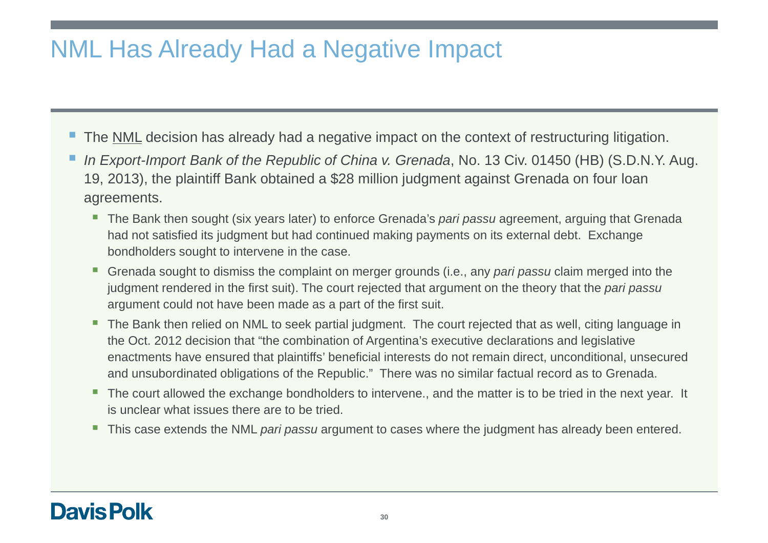# NML Has Already Had a Negative Impact

- The **NML** decision has already had a negative impact on the context of restructuring litigation.
- In Export-Import Bank of the Republic of China v. Grenada, No. 13 Civ. 01450 (HB) (S.D.N.Y. Aug. 19, 2013), the plaintiff Bank obtained a \$28 million judgment against Grenada on four loan agreements.
	- The Bank then sought (six years later) to enforce Grenada's *pari passu* agreement, arguing that Grenada had not satisfied its judgment but had continued making payments on its external debt. Exchange bondholders sought to intervene in the case.
	- $\overline{\phantom{a}}$ Grenada sought to dismiss the complaint on merger grounds (i.e., any pari passu claim merged into the judgment rendered in the first suit). The court rejected that argument on the theory that the pari passu argument could not have been made as a part of the first suit.
	- $\blacksquare$  The Bank then relied on NML to seek partial judgment. The court rejected that as well, citing language in the Oct. 2012 decision that "the combination of Argentina's executive declarations and legislative enactments have ensured that plaintiffs' beneficial interests do not remain direct, unconditional, unsecured and unsubordinated obligations of the Republic." There was no similar factual record as to Grenada.
	- The court allowed the exchange bondholders to intervene., and the matter is to be tried in the next year. It is unclear what issues there are to be tried.
	- This case extends the NML *pari passu* argument to cases where the judgment has already been entered.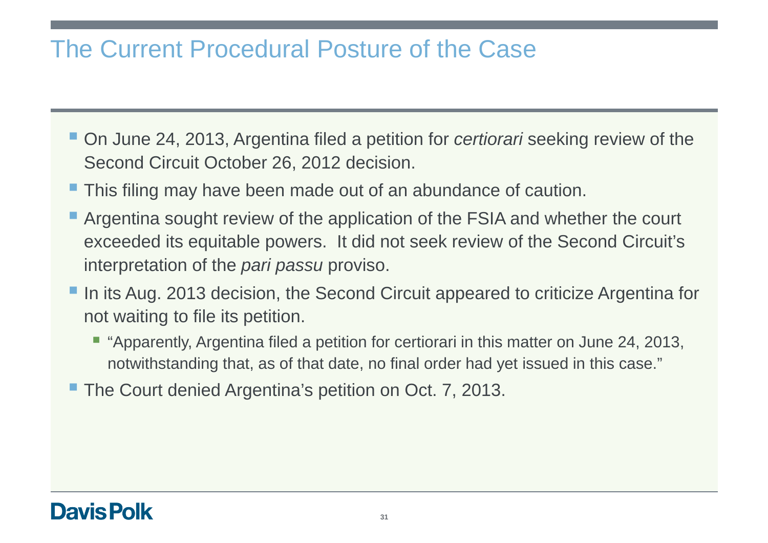# The Current Procedural Posture of the Case

- On June 24, 2013, Argentina filed a petition for *certiorari* seeking review of the Second Circuit October 26, 2012 decision.
- **This filing may have been made out of an abundance of caution.**
- **Argentina sought review of the application of the FSIA and whether the court** exceeded its equitable powers. It did not seek review of the Second Circuit's interpretation of the *pari passu* proviso.
- In its Aug. 2013 decision, the Second Circuit appeared to criticize Argentina for not waiting to file its petition.
	- "Apparently, Argentina filed a petition for certiorari in this matter on June 24, 2013, notwithstanding that, as of that date, no final order had yet issued in this case."
- **The Court denied Argentina's petition on Oct. 7, 2013.**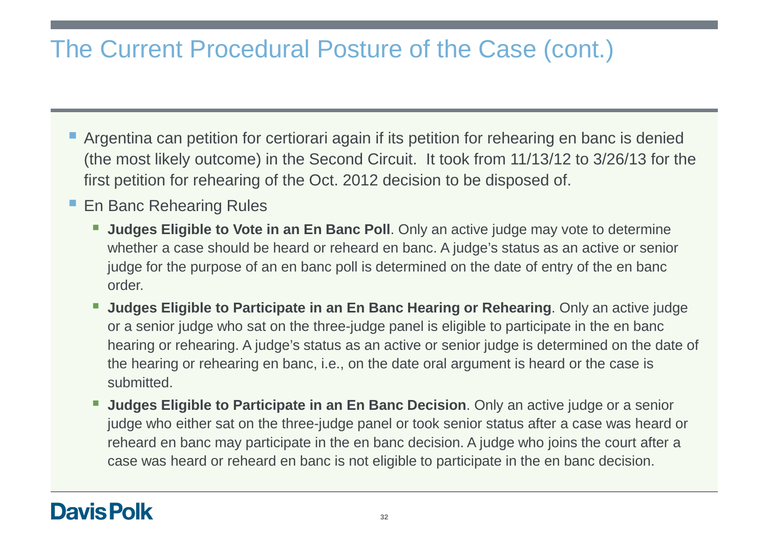# The Current Procedural Posture of the Case (cont.)

- **Argentina can petition for certiorari again if its petition for rehearing en banc is denied** (the most likely outcome) in the Second Circuit. It took from 11/13/12 to 3/26/13 for the first petition for rehearing of the Oct. 2012 decision to be disposed of.
- En Banc Rehearing Rules
	- **Judges Eligible to Vote in an En Banc Poll**. Only an active judge may vote to determine whether a case should be heard or reheard en banc. A judge's status as an active or senior judge for the purpose of an en banc poll is determined on the date of entry of the en banc order.
	- **Judges Eligible to Participate in an En Banc Hearing or Rehearing**. Only an active judge or a senior judge who sat on the three-judge panel is eligible to participate in the en banc hearing or rehearing. A judge's status as an active or senior judge is determined on the date of the hearing or rehearing en banc, i.e., on the date oral argument is heard or the case is submitted.
	- $\mathcal{L}_{\mathcal{A}}$  **Judges Eligible to Participate in an En Banc Decision**. Only an active judge or a senior judge who either sat on the three-judge panel or took senior status after a case was heard or reheard en banc may participate in the en banc decision. A judge who joins the court after a case was heard or reheard en banc is not eligible to participate in the en banc decision.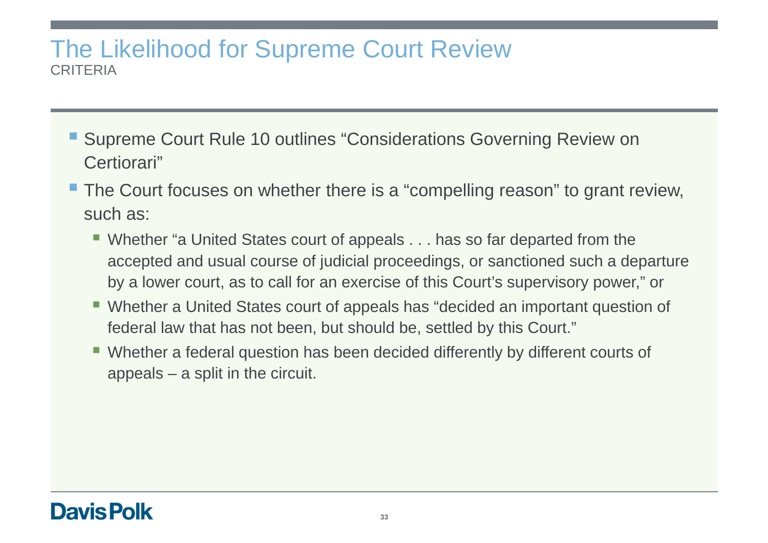### The Likelihood for Supreme Court ReviewCRITERIA

- Supreme Court Rule 10 outlines "Considerations Governing Review on Certiorari"
- The Court focuses on whether there is a "compelling reason" to grant review, such as:
	- Whether "a United States court of appeals . . . has so far departed from the accepted and usual course of judicial proceedings, or sanctioned such a departure by a lower court, as to call for an exercise of this Court's supervisory power," or
	- Whether a United States court of appeals has "decided an important question of federal law that has not been, but should be, settled by this Court."
	- Whether a federal question has been decided differently by different courts of appeals – a split in the circuit.